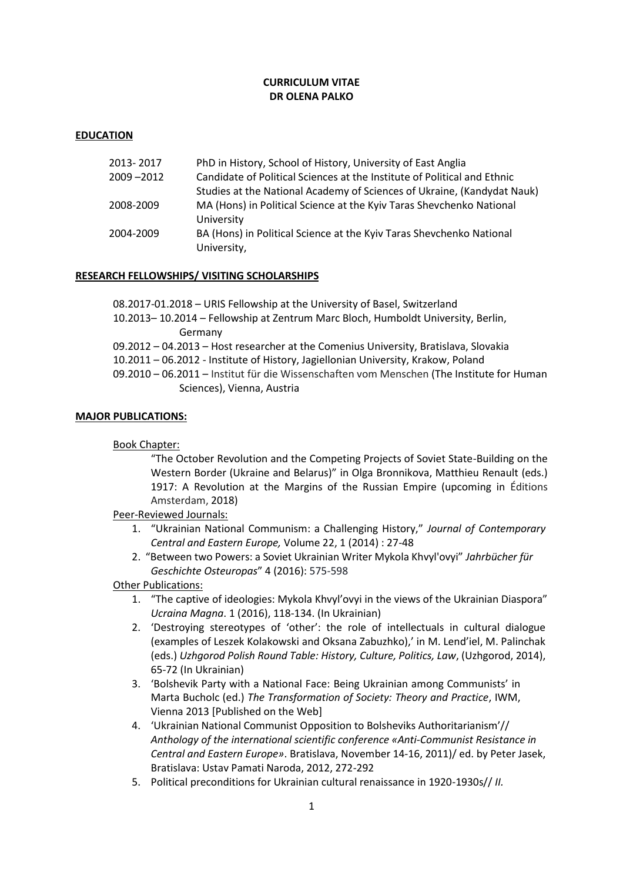# **CURRICULUM VITAE DR OLENA PALKO**

## **EDUCATION**

| 2013-2017 | PhD in History, School of History, University of East Anglia             |
|-----------|--------------------------------------------------------------------------|
| 2009-2012 | Candidate of Political Sciences at the Institute of Political and Ethnic |
|           | Studies at the National Academy of Sciences of Ukraine, (Kandydat Nauk)  |
| 2008-2009 | MA (Hons) in Political Science at the Kyiv Taras Shevchenko National     |
|           | University                                                               |
| 2004-2009 | BA (Hons) in Political Science at the Kyiv Taras Shevchenko National     |
|           | University,                                                              |

### **RESEARCH FELLOWSHIPS/ VISITING SCHOLARSHIPS**

08.2017-01.2018 – URIS Fellowship at the University of Basel, Switzerland 10.2013– 10.2014 – Fellowship at Zentrum Marc Bloch, Humboldt University, Berlin, Germany 09.2012 – 04.2013 – Host researcher at the Comenius University, Bratislava, Slovakia 10.2011 – 06.2012 - Institute of History, Jagiellonian University, Krakow, Poland 09.2010 – 06.2011 – Institut für die Wissenschaften vom Menschen (The Institute for Human Sciences), Vienna, Austria

### **MAJOR PUBLICATIONS:**

Book Chapter:

"The October Revolution and the Competing Projects of Soviet State-Building on the Western Border (Ukraine and Belarus)" in Olga Bronnikova, Matthieu Renault (eds.) 1917: A Revolution at the Margins of the Russian Empire (upcoming in Éditions Amsterdam, 2018)

Peer-Reviewed Journals:

- 1. "Ukrainian National Communism: a Challenging History," *Journal of Contemporary Central and Eastern Europe,* Volume 22, 1 (2014) : 27-48
- 2. "Between two Powers: a Soviet Ukrainian Writer Mykola Khvyl'ovyi" *Jahrbücher für Geschichte Osteuropas*" 4 (2016): 575-598

Other Publications:

- 1. "The captive of ideologies: Mykola Khvyl'ovyi in the views of the Ukrainian Diaspora" *Ucraina Magna*. 1 (2016), 118-134. (In Ukrainian)
- 2. 'Destroying stereotypes of 'other': the role of intellectuals in cultural dialogue (examples of Leszek Kolakowski and Oksana Zabuzhko),' in M. Lend'iel, M. Palinchak (eds.) *Uzhgorod Polish Round Table: History, Culture, Politics, Law*, (Uzhgorod, 2014), 65-72 (In Ukrainian)
- 3. 'Bolshevik Party with a National Face: Being Ukrainian among Communists' in Marta Bucholc (ed.) *The Transformation of Society: Theory and Practice*, IWM, Vienna 2013 [Published on the Web]
- 4. 'Ukrainian National Communist Opposition to Bolsheviks Authoritarianism'// *Anthology of the international scientific conference «Anti-Communist Resistance in Central and Eastern Europe»*. Bratislava, November 14-16, 2011)/ ed. by Peter Jasek, Bratislava: Ustav Pamati Naroda, 2012, 272-292
- 5. Political preconditions for Ukrainian cultural renaissance in 1920-1930s// *ІІ.*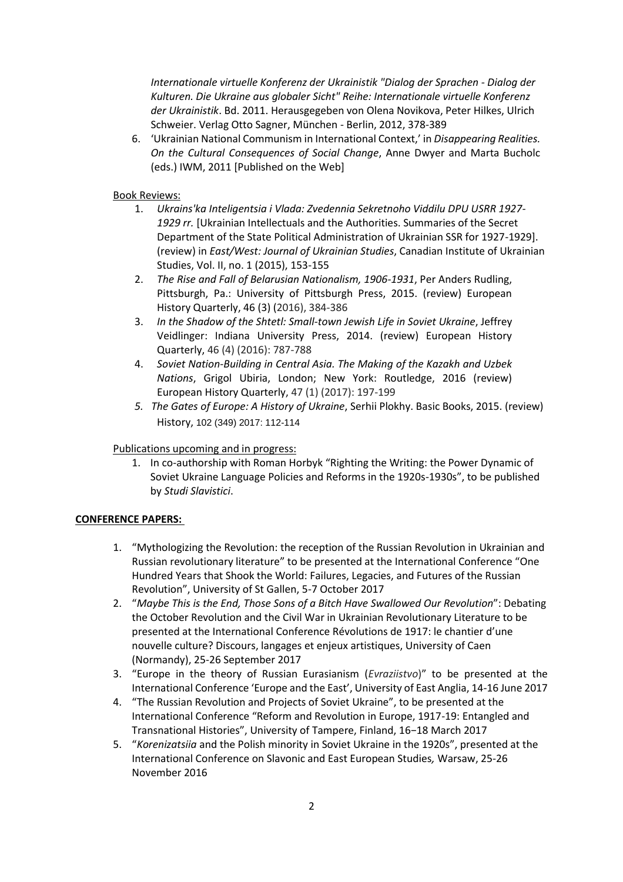*Internationale virtuelle Konferenz der Ukrainistik "Dialog der Sprachen - Dialog der Kulturen. Die Ukraine aus globaler Sicht" Reihe: Internationale virtuelle Konferenz der Ukrainistik*. Bd. 2011. Herausgegeben von Olena Novikova, Peter Hilkes, Ulrich Schweier. Verlag Otto Sagner, München - Berlin, 2012, 378-389

6. 'Ukrainian National Communism in International Context,' in *Disappearing Realities. On the Cultural Consequences of Social Change*, Anne Dwyer and Marta Bucholc (eds.) IWM, 2011 [Published on the Web]

Book Reviews:

- 1. *Ukrains'ka Inteligentsia i Vlada: Zvedennia Sekretnoho Viddilu DPU USRR 1927-* 1929 rr. [Ukrainian Intellectuals and the Authorities. Summaries of the Secret Department of the State Political Administration of Ukrainian SSR for 1927-1929]. (review) in *East/West: Journal of Ukrainian Studies*, Canadian Institute of Ukrainian Studies, Vol. II, no. 1 (2015), 153-155
- 2. *The Rise and Fall of Belarusian Nationalism, 1906-1931*, Per Anders Rudling, Pittsburgh, Pa.: University of Pittsburgh Press, 2015. (review) European History Quarterly, 46 (3) (2016), 384-386
- 3. *In the Shadow of the Shtetl: Small-town Jewish Life in Soviet Ukraine*, Jeffrey Veidlinger: Indiana University Press, 2014. (review) European History Quarterly, 46 (4) (2016): 787-788
- 4. *Soviet Nation-Building in Central Asia. The Making of the Kazakh and Uzbek Nations*, Grigol Ubiria, London; New York: Routledge, 2016 (review) European History Quarterly, 47 (1) (2017): 197-199
- *5. The Gates of Europe: A History of Ukraine*, Serhii Plokhy. Basic Books, 2015. (review) History, 102 (349) 2017: 112-114

Publications upcoming and in progress:

1. In co-authorship with Roman Horbyk "Righting the Writing: the Power Dynamic of Soviet Ukraine Language Policies and Reforms in the 1920s-1930s", to be published by *Studi Slavistici*.

### **CONFERENCE PAPERS:**

- 1. "Mythologizing the Revolution: the reception of the Russian Revolution in Ukrainian and Russian revolutionary literature" to be presented at the International Conference "One Hundred Years that Shook the World: Failures, Legacies, and Futures of the Russian Revolution", University of St Gallen, 5-7 October 2017
- 2. "*Maybe This is the End, Those Sons of a Bitch Have Swallowed Our Revolution*": Debating the October Revolution and the Civil War in Ukrainian Revolutionary Literature to be presented at the International Conference Révolutions de 1917: le chantier d'une nouvelle culture? Discours, langages et enjeux artistiques, University of Caen (Normandy), 25-26 September 2017
- 3. "Europe in the theory of Russian Eurasianism (*Evraziistvo*)" to be presented at the International Conference 'Europe and the East', University of East Anglia, 14-16 June 2017
- 4. "The Russian Revolution and Projects of Soviet Ukraine", to be presented at the International Conference "Reform and Revolution in Europe, 1917-19: Entangled and Transnational Histories", University of Tampere, Finland, 16−18 March 2017
- 5. "*Korenizatsiia* and the Polish minority in Soviet Ukraine in the 1920s", presented at the International Conference on Slavonic and East European Studies*,* Warsaw, 25-26 November 2016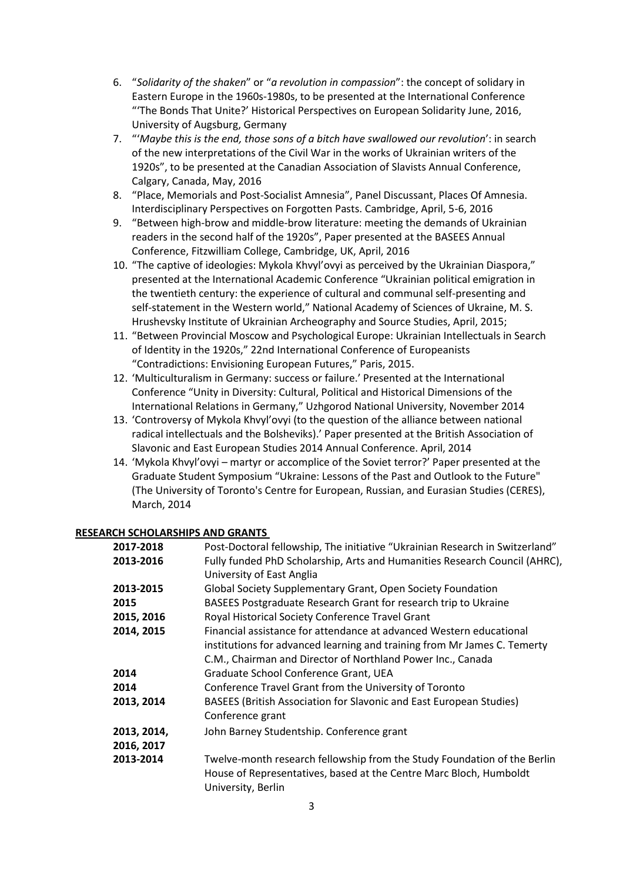- 6. "*Solidarity of the shaken*" or "*a revolution in compassion*": the concept of solidary in Eastern Europe in the 1960s-1980s, to be presented at the International Conference "'The Bonds That Unite?' Historical Perspectives on European Solidarity June, 2016, University of Augsburg, Germany
- 7. "'*Maybe this is the end, those sons of a bitch have swallowed our revolution*': in search of the new interpretations of the Civil War in the works of Ukrainian writers of the 1920s", to be presented at the Canadian Association of Slavists Annual Conference, Calgary, Canada, May, 2016
- 8. "Place, Memorials and Post-Socialist Amnesia", Panel Discussant, Places Of Amnesia. Interdisciplinary Perspectives on Forgotten Pasts. Cambridge, April, 5-6, 2016
- 9. "Between high-brow and middle-brow literature: meeting the demands of Ukrainian readers in the second half of the 1920s", Paper presented at the BASEES Annual Conference, Fitzwilliam College, Cambridge, UK, April, 2016
- 10. "The captive of ideologies: Mykola Khvyl'ovyi as perceived by the Ukrainian Diaspora," presented at the International Academic Conference "Ukrainian political emigration in the twentieth century: the experience of cultural and communal self-presenting and self-statement in the Western world," National Academy of Sciences of Ukraine, M. S. Hrushevsky Institute of Ukrainian Archeography and Source Studies, April, 2015;
- 11. "Between Provincial Moscow and Psychological Europe: Ukrainian Intellectuals in Search of Identity in the 1920s," 22nd International Conference of Europeanists "Contradictions: Envisioning European Futures," Paris, 2015.
- 12. 'Multiculturalism in Germany: success or failure.' Presented at the International Conference "Unity in Diversity: Cultural, Political and Historical Dimensions of the International Relations in Germany," Uzhgorod National University, November 2014
- 13. 'Controversy of Mykola Khvyl'ovyi (to the question of the alliance between national radical intellectuals and the Bolsheviks).' Paper presented at the British Association of Slavonic and East European Studies 2014 Annual Conference. April, 2014
- 14. 'Mykola Khvyl'ovyi martyr or accomplice of the Soviet terror?' Paper presented at the Graduate Student Symposium "Ukraine: Lessons of the Past and Outlook to the Future" (The University of Toronto's Centre for European, Russian, and Eurasian Studies (CERES), March, 2014

## **RESEARCH SCHOLARSHIPS AND GRANTS**

| 2017-2018   | Post-Doctoral fellowship, The initiative "Ukrainian Research in Switzerland"                                                                                         |
|-------------|----------------------------------------------------------------------------------------------------------------------------------------------------------------------|
| 2013-2016   | Fully funded PhD Scholarship, Arts and Humanities Research Council (AHRC),                                                                                           |
|             | University of East Anglia                                                                                                                                            |
| 2013-2015   | Global Society Supplementary Grant, Open Society Foundation                                                                                                          |
| 2015        | BASEES Postgraduate Research Grant for research trip to Ukraine                                                                                                      |
| 2015, 2016  | Royal Historical Society Conference Travel Grant                                                                                                                     |
| 2014, 2015  | Financial assistance for attendance at advanced Western educational                                                                                                  |
|             | institutions for advanced learning and training from Mr James C. Temerty                                                                                             |
|             | C.M., Chairman and Director of Northland Power Inc., Canada                                                                                                          |
| 2014        | Graduate School Conference Grant, UEA                                                                                                                                |
| 2014        | Conference Travel Grant from the University of Toronto                                                                                                               |
| 2013, 2014  | BASEES (British Association for Slavonic and East European Studies)                                                                                                  |
|             | Conference grant                                                                                                                                                     |
| 2013, 2014, | John Barney Studentship. Conference grant                                                                                                                            |
| 2016, 2017  |                                                                                                                                                                      |
| 2013-2014   | Twelve-month research fellowship from the Study Foundation of the Berlin<br>House of Representatives, based at the Centre Marc Bloch, Humboldt<br>University, Berlin |
|             |                                                                                                                                                                      |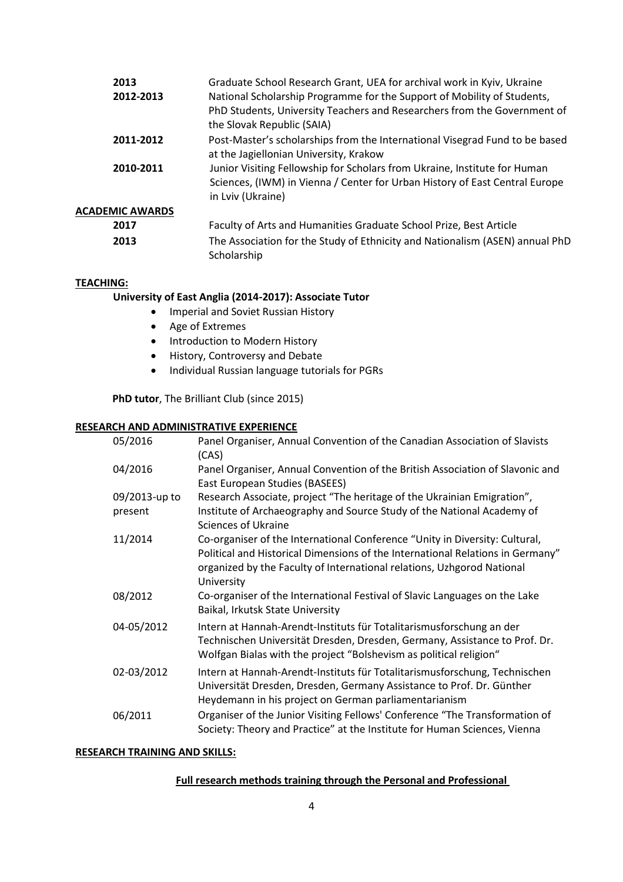| 2013                   | Graduate School Research Grant, UEA for archival work in Kyiv, Ukraine                                                |
|------------------------|-----------------------------------------------------------------------------------------------------------------------|
| 2012-2013              | National Scholarship Programme for the Support of Mobility of Students,                                               |
|                        | PhD Students, University Teachers and Researchers from the Government of<br>the Slovak Republic (SAIA)                |
| 2011-2012              | Post-Master's scholarships from the International Visegrad Fund to be based<br>at the Jagiellonian University, Krakow |
| 2010-2011              | Junior Visiting Fellowship for Scholars from Ukraine, Institute for Human                                             |
|                        | Sciences, (IWM) in Vienna / Center for Urban History of East Central Europe<br>in Lviv (Ukraine)                      |
| <b>ACADEMIC AWARDS</b> |                                                                                                                       |
| 2017                   | Faculty of Arts and Humanities Graduate School Prize, Best Article                                                    |
| 2013                   | The Association for the Study of Ethnicity and Nationalism (ASEN) annual PhD<br>Scholarship                           |

## **TEACHING:**

### **University of East Anglia (2014-2017): Associate Tutor**

- Imperial and Soviet Russian History
- Age of Extremes
- Introduction to Modern History
- History, Controversy and Debate
- Individual Russian language tutorials for PGRs

**PhD tutor**, The Brilliant Club (since 2015)

### **RESEARCH AND ADMINISTRATIVE EXPERIENCE**

| 05/2016                  | Panel Organiser, Annual Convention of the Canadian Association of Slavists<br>(CAS)                                                                                                                                                                   |
|--------------------------|-------------------------------------------------------------------------------------------------------------------------------------------------------------------------------------------------------------------------------------------------------|
| 04/2016                  | Panel Organiser, Annual Convention of the British Association of Slavonic and<br>East European Studies (BASEES)                                                                                                                                       |
| 09/2013-up to<br>present | Research Associate, project "The heritage of the Ukrainian Emigration",<br>Institute of Archaeography and Source Study of the National Academy of<br><b>Sciences of Ukraine</b>                                                                       |
| 11/2014                  | Co-organiser of the International Conference "Unity in Diversity: Cultural,<br>Political and Historical Dimensions of the International Relations in Germany"<br>organized by the Faculty of International relations, Uzhgorod National<br>University |
| 08/2012                  | Co-organiser of the International Festival of Slavic Languages on the Lake<br>Baikal, Irkutsk State University                                                                                                                                        |
| 04-05/2012               | Intern at Hannah-Arendt-Instituts für Totalitarismusforschung an der<br>Technischen Universität Dresden, Dresden, Germany, Assistance to Prof. Dr.<br>Wolfgan Bialas with the project "Bolshevism as political religion"                              |
| 02-03/2012               | Intern at Hannah-Arendt-Instituts für Totalitarismusforschung, Technischen<br>Universität Dresden, Dresden, Germany Assistance to Prof. Dr. Günther<br>Heydemann in his project on German parliamentarianism                                          |
| 06/2011                  | Organiser of the Junior Visiting Fellows' Conference "The Transformation of<br>Society: Theory and Practice" at the Institute for Human Sciences, Vienna                                                                                              |

## **RESEARCH TRAINING AND SKILLS:**

### **Full research methods training through the Personal and Professional**